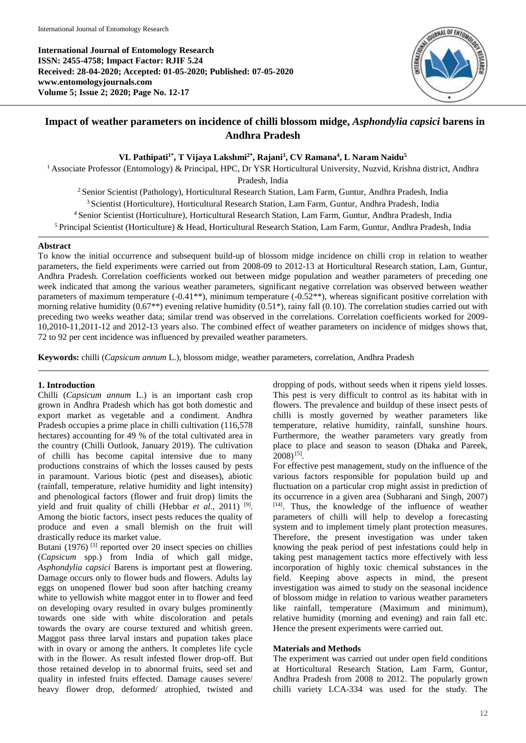**International Journal of Entomology Research ISSN: 2455-4758; Impact Factor: RJIF 5.24 Received: 28-04-2020; Accepted: 01-05-2020; Published: 07-05-2020 www.entomologyjournals.com Volume 5; Issue 2; 2020; Page No. 12-17**



# **Impact of weather parameters on incidence of chilli blossom midge,** *Asphondylia capsici* **barens in Andhra Pradesh**

**VL Pathipati1\* , T Vijaya Lakshmi2\* , Rajani<sup>3</sup> , CV Ramana<sup>4</sup> , L Naram Naidu<sup>5</sup>**

<sup>1</sup> Associate Professor (Entomology) & Principal, HPC, Dr YSR Horticultural University, Nuzvid, Krishna district, Andhra

Pradesh, India

<sup>2</sup> Senior Scientist (Pathology), Horticultural Research Station, Lam Farm, Guntur, Andhra Pradesh, India <sup>3</sup> Scientist (Horticulture), Horticultural Research Station, Lam Farm, Guntur, Andhra Pradesh, India

<sup>4</sup>Senior Scientist (Horticulture), Horticultural Research Station, Lam Farm, Guntur, Andhra Pradesh, India

<sup>5</sup> Principal Scientist (Horticulture) & Head, Horticultural Research Station, Lam Farm, Guntur, Andhra Pradesh, India

# **Abstract**

To know the initial occurrence and subsequent build-up of blossom midge incidence on chilli crop in relation to weather parameters, the field experiments were carried out from 2008-09 to 2012-13 at Horticultural Research station, Lam, Guntur, Andhra Pradesh. Correlation coefficients worked out between midge population and weather parameters of preceding one week indicated that among the various weather parameters, significant negative correlation was observed between weather parameters of maximum temperature  $(-0.41^{**})$ , minimum temperature  $(-0.52^{**})$ , whereas significant positive correlation with morning relative humidity (0.67\*\*) evening relative humidity (0.51\*), rainy fall (0.10). The correlation studies carried out with preceding two weeks weather data; similar trend was observed in the correlations. Correlation coefficients worked for 2009- 10,2010-11,2011-12 and 2012-13 years also. The combined effect of weather parameters on incidence of midges shows that, 72 to 92 per cent incidence was influenced by prevailed weather parameters.

**Keywords:** chilli (*Capsicum annum* L.), blossom midge, weather parameters, correlation, Andhra Pradesh

# **1. Introduction**

Chilli (*Capsicum annum* L.) is an important cash crop grown in Andhra Pradesh which has got both domestic and export market as vegetable and a condiment. Andhra Pradesh occupies a prime place in chilli cultivation (116,578 hectares) accounting for 49 % of the total cultivated area in the country (Chilli Outlook, January 2019). The cultivation of chilli has become capital intensive due to many productions constrains of which the losses caused by pests in paramount. Various biotic (pest and diseases), abiotic (rainfall, temperature, relative humidity and light intensity) and phenological factors (flower and fruit drop) limits the yield and fruit quality of chilli (Hebbar et al., 2011)<sup>[9]</sup>. Among the biotic factors, insect pests reduces the quality of produce and even a small blemish on the fruit will drastically reduce its market value.

Butani  $(1976)$ <sup>[3]</sup> reported over 20 insect species on chillies (*Capsicum* spp.) from India of which gall midge, *Asphondylia capsici* Barens is important pest at flowering. Damage occurs only to flower buds and flowers. Adults lay eggs on unopened flower bud soon after hatching creamy white to yellowish white maggot enter in to flower and feed on developing ovary resulted in ovary bulges prominently towards one side with white discoloration and petals towards the ovary are course textured and whitish green. Maggot pass three larval instars and pupation takes place with in ovary or among the anthers. It completes life cycle with in the flower. As result infested flower drop-off. But those retained develop in to abnormal fruits, seed set and quality in infested fruits effected. Damage causes severe/ heavy flower drop, deformed/ atrophied, twisted and

dropping of pods, without seeds when it ripens yield losses. This pest is very difficult to control as its habitat with in flowers. The prevalence and buildup of these insect pests of chilli is mostly governed by weather parameters like temperature, relative humidity, rainfall, sunshine hours. Furthermore, the weather parameters vary greatly from place to place and season to season (Dhaka and Pareek,  $2008$ )<sup>[5]</sup>.

For effective pest management, study on the influence of the various factors responsible for population build up and fluctuation on a particular crop might assist in prediction of its occurrence in a given area (Subharani and Singh, 2007) [14] . Thus, the knowledge of the influence of weather parameters of chilli will help to develop a forecasting system and to implement timely plant protection measures. Therefore, the present investigation was under taken knowing the peak period of pest infestations could help in taking pest management tactics more effectively with less incorporation of highly toxic chemical substances in the field. Keeping above aspects in mind, the present investigation was aimed to study on the seasonal incidence of blossom midge in relation to various weather parameters like rainfall, temperature (Maximum and minimum), relative humidity (morning and evening) and rain fall etc. Hence the present experiments were carried out.

# **Materials and Methods**

The experiment was carried out under open field conditions at Horticultural Research Station, Lam Farm, Guntur, Andhra Pradesh from 2008 to 2012. The popularly grown chilli variety LCA-334 was used for the study. The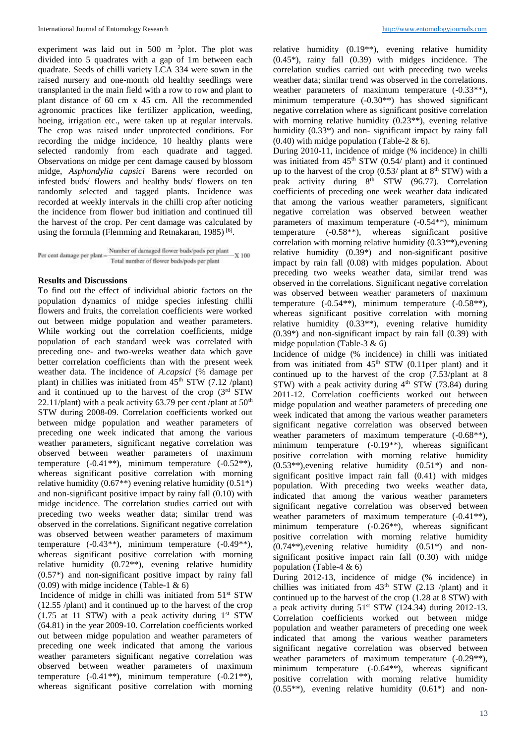experiment was laid out in 500 m  $^2$ plot. The plot was divided into 5 quadrates with a gap of 1m between each quadrate. Seeds of chilli variety LCA 334 were sown in the raised nursery and one-month old healthy seedlings were transplanted in the main field with a row to row and plant to plant distance of 60 cm x 45 cm. All the recommended agronomic practices like fertilizer application, weeding, hoeing, irrigation etc., were taken up at regular intervals. The crop was raised under unprotected conditions. For recording the midge incidence, 10 healthy plants were selected randomly from each quadrate and tagged. Observations on midge per cent damage caused by blossom midge, *Asphondylia capsici* Barens were recorded on infested buds/ flowers and healthy buds/ flowers on ten randomly selected and tagged plants. Incidence was recorded at weekly intervals in the chilli crop after noticing the incidence from flower bud initiation and continued till the harvest of the crop. Per cent damage was calculated by using the formula (Flemming and Retnakaran, 1985)<sup>[6]</sup>.

 $\label{eq:Percent-damage} \text{Per cent damage per plant} - \frac{\text{Number of damaged flower budgets} \text{pods} \text{pods per plant}}{\text{Total number of flower budgets} \text{pends} \text{pods per plant}} \text{X 100}$ 

## **Results and Discussions**

To find out the effect of individual abiotic factors on the population dynamics of midge species infesting chilli flowers and fruits, the correlation coefficients were worked out between midge population and weather parameters. While working out the correlation coefficients, midge population of each standard week was correlated with preceding one- and two-weeks weather data which gave better correlation coefficients than with the present week weather data. The incidence of *A.capsici* (% damage per plant) in chillies was initiated from  $45<sup>th</sup>$  STW (7.12 /plant) and it continued up to the harvest of the crop  $(3<sup>rd</sup> STW)$ 22.11/plant) with a peak activity 63.79 per cent /plant at  $50<sup>th</sup>$ STW during 2008-09. Correlation coefficients worked out between midge population and weather parameters of preceding one week indicated that among the various weather parameters, significant negative correlation was observed between weather parameters of maximum temperature  $(-0.41**)$ , minimum temperature  $(-0.52**)$ , whereas significant positive correlation with morning relative humidity (0.67\*\*) evening relative humidity (0.51\*) and non-significant positive impact by rainy fall (0.10) with midge incidence. The correlation studies carried out with preceding two weeks weather data; similar trend was observed in the correlations. Significant negative correlation was observed between weather parameters of maximum temperature (-0.43\*\*), minimum temperature (-0.49\*\*), whereas significant positive correlation with morning relative humidity (0.72\*\*), evening relative humidity (0.57\*) and non-significant positive impact by rainy fall  $(0.09)$  with midge incidence (Table-1 & 6)

Incidence of midge in chilli was initiated from  $51<sup>st</sup>$  STW (12.55 /plant) and it continued up to the harvest of the crop (1.75 at 11 STW) with a peak activity during  $1<sup>st</sup>$  STW (64.81) in the year 2009-10. Correlation coefficients worked out between midge population and weather parameters of preceding one week indicated that among the various weather parameters significant negative correlation was observed between weather parameters of maximum temperature (-0.41\*\*), minimum temperature (-0.21\*\*), whereas significant positive correlation with morning

relative humidity (0.19\*\*), evening relative humidity (0.45\*), rainy fall (0.39) with midges incidence. The correlation studies carried out with preceding two weeks weather data; similar trend was observed in the correlations. weather parameters of maximum temperature  $(-0.33**)$ , minimum temperature (-0.30\*\*) has showed significant negative correlation where as significant positive correlation with morning relative humidity (0.23<sup>\*\*</sup>), evening relative humidity  $(0.33^*)$  and non-significant impact by rainy fall  $(0.40)$  with midge population (Table-2 & 6).

During 2010-11, incidence of midge (% incidence) in chilli was initiated from  $45<sup>th</sup> STW$  (0.54/ plant) and it continued up to the harvest of the crop  $(0.53/$  plant at  $8<sup>th</sup> STW)$  with a peak activity during  $8<sup>th</sup> STW$  (96.77). Correlation coefficients of preceding one week weather data indicated that among the various weather parameters, significant negative correlation was observed between weather parameters of maximum temperature (-0.54\*\*), minimum temperature  $(-0.58**)$ , whereas significant positive correlation with morning relative humidity (0.33\*\*),evening relative humidity (0.39\*) and non-significant positive impact by rain fall (0.08) with midges population. About preceding two weeks weather data, similar trend was observed in the correlations. Significant negative correlation was observed between weather parameters of maximum temperature (-0.54\*\*), minimum temperature (-0.58\*\*), whereas significant positive correlation with morning relative humidity  $(0.33^{**})$ , evening relative humidity (0.39\*) and non-significant impact by rain fall (0.39) with midge population (Table-3  $\&$  6)

Incidence of midge (% incidence) in chilli was initiated from was initiated from  $45<sup>th</sup> STW$  (0.11per plant) and it continued up to the harvest of the crop (7.53/plant at 8  $STW$ ) with a peak activity during  $4<sup>th</sup> STW$  (73.84) during 2011-12. Correlation coefficients worked out between midge population and weather parameters of preceding one week indicated that among the various weather parameters significant negative correlation was observed between weather parameters of maximum temperature  $(-0.68**)$ , minimum temperature (-0.19\*\*), whereas significant positive correlation with morning relative humidity  $(0.53**)$ , evening relative humidity  $(0.51*)$  and nonsignificant positive impact rain fall (0.41) with midges population. With preceding two weeks weather data, indicated that among the various weather parameters significant negative correlation was observed between weather parameters of maximum temperature  $(-0.41**)$ , minimum temperature (-0.26<sup>\*\*</sup>), whereas significant positive correlation with morning relative humidity  $(0.74**)$ , evening relative humidity  $(0.51*)$  and nonsignificant positive impact rain fall (0.30) with midge population (Table-4 & 6)

During 2012-13, incidence of midge (% incidence) in chillies was initiated from  $43<sup>th</sup> STW$  (2.13 /plant) and it continued up to the harvest of the crop (1.28 at 8 STW) with a peak activity during  $51<sup>st</sup> STW$  (124.34) during 2012-13. Correlation coefficients worked out between midge population and weather parameters of preceding one week indicated that among the various weather parameters significant negative correlation was observed between weather parameters of maximum temperature  $(-0.29**)$ , minimum temperature (-0.64\*\*), whereas significant positive correlation with morning relative humidity  $(0.55**)$ , evening relative humidity  $(0.61*)$  and non-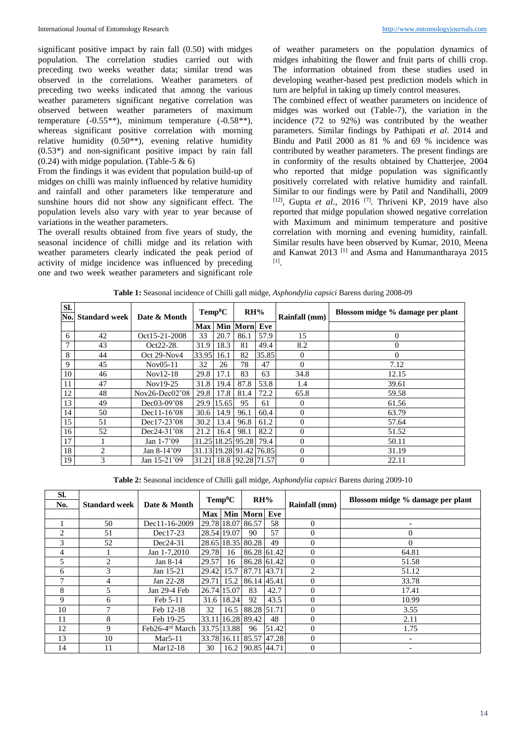significant positive impact by rain fall (0.50) with midges population. The correlation studies carried out with preceding two weeks weather data; similar trend was observed in the correlations. Weather parameters of preceding two weeks indicated that among the various weather parameters significant negative correlation was observed between weather parameters of maximum temperature (-0.55\*\*), minimum temperature (-0.58\*\*), whereas significant positive correlation with morning relative humidity (0.50\*\*), evening relative humidity (0.53\*) and non-significant positive impact by rain fall  $(0.24)$  with midge population. (Table-5 & 6)

From the findings it was evident that population build-up of midges on chilli was mainly influenced by relative humidity and rainfall and other parameters like temperature and sunshine hours did not show any significant effect. The population levels also vary with year to year because of variations in the weather parameters.

The overall results obtained from five years of study, the seasonal incidence of chilli midge and its relation with weather parameters clearly indicated the peak period of activity of midge incidence was influenced by preceding one and two week weather parameters and significant role

of weather parameters on the population dynamics of midges inhabiting the flower and fruit parts of chilli crop. The information obtained from these studies used in developing weather-based pest prediction models which in turn are helpful in taking up timely control measures.

The combined effect of weather parameters on incidence of midges was worked out (Table-7), the variation in the incidence (72 to 92%) was contributed by the weather parameters. Similar findings by Pathipati *et al*. 2014 and Bindu and Patil 2000 as 81 % and 69 % incidence was contributed by weather parameters. The present findings are in conformity of the results obtained by Chatterjee, 2004 who reported that midge population was significantly positively correlated with relative humidity and rainfall. Similar to our findings were by Patil and Nandihalli, 2009 [12] , Gupta *et al*., 2016 [7] . Thriveni KP, 2019 have also reported that midge population showed negative correlation with Maximum and minimum temperature and positive correlation with morning and evening humidity, rainfall. Similar results have been observed by Kumar, 2010, Meena and Kanwat 2013<sup>[1]</sup> and Asma and Hanumantharaya 2015 [1] .

| <b>SI.</b> | No. Standard week | Date & Month     | $Temp^0C$  |            | RH%                     |       | Rainfall (mm) | Blossom midge % damage per plant |  |
|------------|-------------------|------------------|------------|------------|-------------------------|-------|---------------|----------------------------------|--|
|            |                   |                  | <b>Max</b> |            | <b>Min Morn</b><br>Eve  |       |               |                                  |  |
| 6          | 42                | Oct15-21-2008    | 33         | 20.7       | 86.1                    | 57.9  | 15            | $\mathbf{0}$                     |  |
| 7          | 43                | Oct22-28.        | 31.9       | 18.3       | 81                      | 49.4  | 8.2           | $\mathbf{0}$                     |  |
| 8          | 44                | Oct 29-Nov4      | 33.95      | 16.1       | 82                      | 35.85 | $\theta$      | $\Omega$                         |  |
| 9          | 45                | $Nov05-11$       | 32         | 26         | 78                      | 47    | $\theta$      | 7.12                             |  |
| 10         | 46                | $Nov12-18$       | 29.8       | 17.1       | 83                      | 63    | 34.8          | 12.15                            |  |
| 11         | 47                | Nov19-25         | 31.8       | 19.4       | 87.8                    | 53.8  | 1.4           | 39.61                            |  |
| 12         | 48                | $Nov26-Dec02'08$ | 29.8       | 17.8       | 81.4                    | 72.2  | 65.8          | 59.58                            |  |
| 13         | 49                | $Dec03-09'08$    |            | 29.9 15.65 | 95                      | 61    | $\Omega$      | 61.56                            |  |
| 14         | 50                | $Dec11-16'08$    | 30.6       | 14.9       | 96.1                    | 60.4  | $\theta$      | 63.79                            |  |
| 15         | 51                | Dec17-23'08      | 30.2       | 13.4       | 96.8                    | 61.2  | $\Omega$      | 57.64                            |  |
| 16         | 52                | Dec24-31'08      | 21.2       | 16.4       | 98.1                    | 82.2  | $\theta$      | 51.52                            |  |
| 17         |                   | Jan $1-7'09$     |            |            | 31.25 18.25 95.28       | 79.4  | $\theta$      | 50.11                            |  |
| 18         | $\mathfrak{D}$    | Jan $8-14'09$    |            |            | 31.13 19.28 91.42 76.85 |       | $\theta$      | 31.19                            |  |
| 19         | 3                 | Jan 15-21'09     |            |            | 31.21 18.8 92.28 71.57  |       | $\theta$      | 22.11                            |  |

**Table 1:** Seasonal incidence of Chilli gall midge, *Asphondylia capsici* Barens during 2008-09

**Table 2:** Seasonal incidence of Chilli gall midge, *Asphondylia capsici* Barens during 2009-10

| SI.<br>No. | <b>Standard week</b> | Date & Month                | $Temp^0C$ |             | RH%                     |       | Rainfall (mm)  | Blossom midge % damage per plant |
|------------|----------------------|-----------------------------|-----------|-------------|-------------------------|-------|----------------|----------------------------------|
|            |                      |                             |           |             | Max   Min   Morn   Eve  |       |                |                                  |
|            | 50                   | Dec11-16-2009               |           |             | 29.78 18.07 86.57       | 58    | $\Omega$       | $\overline{\phantom{0}}$         |
| 2          | 51                   | Dec17-23                    |           | 28.54 19.07 | 90                      | 57    | $\Omega$       | $\theta$                         |
| 3          | 52                   | Dec24-31                    |           |             | 28.65 18.35 80.28       | 49    | $\overline{0}$ | $\Omega$                         |
| 4          |                      | Jan 1-7,2010                | 29.78     | 16          | 86.28 61.42             |       | $\overline{0}$ | 64.81                            |
| 5          | $\mathfrak{D}$       | Jan 8-14                    | 29.57     | 16          | 86.28 61.42             |       | $\overline{0}$ | 51.58                            |
| 6          | 3                    | Jan 15-21                   | 29.42     | 15.7        | 87.71 43.71             |       | 2              | 51.12                            |
| ⇁          | 4                    | Jan 22-28                   | 29.71     | 15.2        | 86.14 45.41             |       | $\Omega$       | 33.78                            |
| 8          | 5                    | Jan 29-4 Feb                |           | 26.74 15.07 | 83                      | 42.7  | $\Omega$       | 17.41                            |
| 9          | 6                    | Feb 5-11                    | 31.6      | 18.24       | 92                      | 43.5  | $\Omega$       | 10.99                            |
| 10         |                      | Feb 12-18                   | 32        | 16.5        | 88.28 51.71             |       | $\Omega$       | 3.55                             |
| 11         | 8                    | Feb 19-25                   |           |             | 33.11 16.28 89.42       | 48    | $\Omega$       | 2.11                             |
| 12         | 9                    | Feb26-4 <sup>rd</sup> March |           | 33.75 13.88 | 96                      | 51.42 | $\Omega$       | 1.75                             |
| 13         | 10                   | $Mar5-11$                   |           |             | 33.78 16.11 85.57 47.28 |       | $\Omega$       | $\overline{\phantom{a}}$         |
| 14         | 11                   | $Mar12-18$                  | 30        | 16.2        | 90.85 44.71             |       | $\Omega$       |                                  |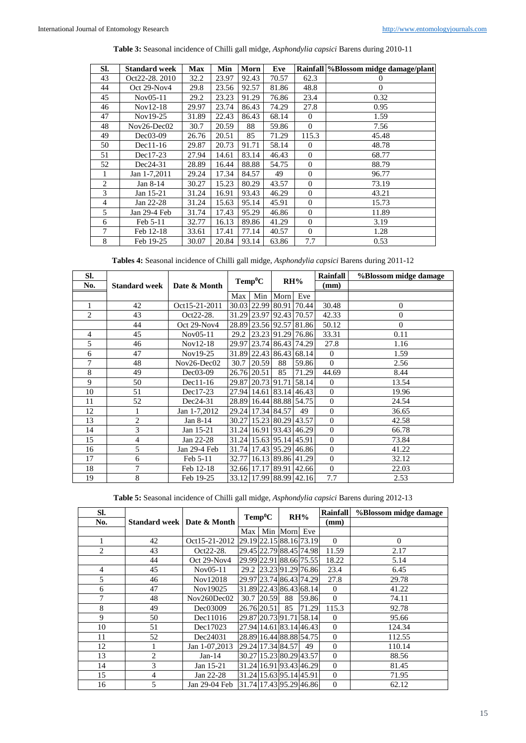| SI.            | <b>Standard week</b> | <b>Max</b> | Min   | Morn  | Eve   |                | Rainfall %Blossom midge damage/plant |
|----------------|----------------------|------------|-------|-------|-------|----------------|--------------------------------------|
| 43             | Oct22-28, 2010       | 32.2       | 23.97 | 92.43 | 70.57 | 62.3           | $\Omega$                             |
| 44             | Oct 29-Nov4          | 29.8       | 23.56 | 92.57 | 81.86 | 48.8           | $\Omega$                             |
| 45             | $Nov05-11$           | 29.2       | 23.23 | 91.29 | 76.86 | 23.4           | 0.32                                 |
| 46             | $Nov12-18$           | 29.97      | 23.74 | 86.43 | 74.29 | 27.8           | 0.95                                 |
| 47             | Nov19-25             | 31.89      | 22.43 | 86.43 | 68.14 | $\Omega$       | 1.59                                 |
| 48             | $Nov26-Dec02$        | 30.7       | 20.59 | 88    | 59.86 | $\mathbf{0}$   | 7.56                                 |
| 49             | $Dec03-09$           | 26.76      | 20.51 | 85    | 71.29 | 115.3          | 45.48                                |
| 50             | $Dec11-16$           | 29.87      | 20.73 | 91.71 | 58.14 | $\Omega$       | 48.78                                |
| 51             | Dec17-23             | 27.94      | 14.61 | 83.14 | 46.43 | $\mathbf{0}$   | 68.77                                |
| 52             | Dec24-31             | 28.89      | 16.44 | 88.88 | 54.75 | $\Omega$       | 88.79                                |
| 1              | Jan 1-7,2011         | 29.24      | 17.34 | 84.57 | 49    | $\Omega$       | 96.77                                |
| $\overline{c}$ | Jan 8-14             | 30.27      | 15.23 | 80.29 | 43.57 | $\overline{0}$ | 73.19                                |
| 3              | Jan 15-21            | 31.24      | 16.91 | 93.43 | 46.29 | $\Omega$       | 43.21                                |
| $\overline{4}$ | Jan 22-28            | 31.24      | 15.63 | 95.14 | 45.91 | $\mathbf{0}$   | 15.73                                |
| 5              | Jan 29-4 Feb         | 31.74      | 17.43 | 95.29 | 46.86 | $\theta$       | 11.89                                |
| 6              | Feb 5-11             | 32.77      | 16.13 | 89.86 | 41.29 | $\Omega$       | 3.19                                 |
| 7              | Feb 12-18            | 33.61      | 17.41 | 77.14 | 40.57 | $\Omega$       | 1.28                                 |
| 8              | Feb 19-25            | 30.07      | 20.84 | 93.14 | 63.86 | 7.7            | 0.53                                 |

**Tables 4:** Seasonal incidence of Chilli gall midge, *Asphondylia capsici* Barens during 2011-12

| SI.            |                      |               | $Temp^0C$ |             |                               |       | <b>Rainfall</b> | %Blossom midge damage |
|----------------|----------------------|---------------|-----------|-------------|-------------------------------|-------|-----------------|-----------------------|
| No.            | <b>Standard week</b> | Date & Month  |           |             | RH%                           |       | (mm)            |                       |
|                |                      |               | Max       | Min         | Morn Eve                      |       |                 |                       |
| 1              | 42                   | Oct15-21-2011 |           |             | 30.03 22.99 80.91 70.44       |       | 30.48           | $\theta$              |
| $\overline{2}$ | 43                   | Oct22-28.     |           |             | 31.29 23.97 92.43 70.57       |       | 42.33           | $\theta$              |
|                | 44                   | Oct 29-Nov4   |           |             | 28.89 23.56 92.57 81.86       |       | 50.12           | $\Omega$              |
| 4              | 45                   | Nov05-11      |           |             | 29.2 23.23 91.29 76.86        |       | 33.31           | 0.11                  |
| 5              | 46                   | $Nov12-18$    |           |             | 29.97 23.74 86.43 74.29       |       | 27.8            | 1.16                  |
| 6              | 47                   | Nov19-25      |           |             | 31.89 22.43 86.43 68.14       |       | $\Omega$        | 1.59                  |
| 7              | 48                   | $Nov26-Dec02$ | 30.7      | 20.59       | 88                            | 59.86 | $\Omega$        | 2.56                  |
| 8              | 49                   | $Dec03-09$    |           | 26.76 20.51 | 85                            | 71.29 | 44.69           | 8.44                  |
| 9              | 50                   | $Dec11-16$    |           |             | 29.87 20.73 91.71 58.14       |       | $\Omega$        | 13.54                 |
| 10             | 51                   | Dec17-23      |           |             | 27.94 14.61 83.14 46.43       |       | $\Omega$        | 19.96                 |
| 11             | 52                   | $Dec24-31$    |           |             | 28.89 16.44 88.88 54.75       |       | $\Omega$        | 24.54                 |
| 12             | $\mathbf{1}$         | Jan 1-7,2012  |           |             | 29.24 17.34 84.57             | 49    | $\Omega$        | 36.65                 |
| 13             | $\overline{c}$       | Jan 8-14      |           |             | 30.27   15.23   80.29   43.57 |       | $\Omega$        | 42.58                 |
| 14             | 3                    | Jan 15-21     |           |             | 31.24 16.91 93.43 46.29       |       | $\Omega$        | 66.78                 |
| 15             | $\overline{4}$       | Jan 22-28     |           |             | 31.24 15.63 95.14 45.91       |       | $\Omega$        | 73.84                 |
| 16             | 5                    | Jan 29-4 Feb  |           |             | 31.74 17.43 95.29 46.86       |       | $\Omega$        | 41.22                 |
| 17             | 6                    | Feb 5-11      |           |             | 32.77 16.13 89.86 41.29       |       | $\Omega$        | 32.12                 |
| 18             | 7                    | Feb 12-18     |           |             | 32.66 17.17 89.91 42.66       |       | $\theta$        | 22.03                 |
| 19             | 8                    | Feb 19-25     |           |             | 33.12 17.99 88.99 42.16       |       | 7.7             | 2.53                  |

**Table 5:** Seasonal incidence of Chilli gall midge, *Asphondylia capsici* Barens during 2012-13

| SI.                         |                              |               |     |                         |              | <b>Rainfall</b><br>$Temp^0C$<br>RH% |                 | %Blossom midge damage |
|-----------------------------|------------------------------|---------------|-----|-------------------------|--------------|-------------------------------------|-----------------|-----------------------|
| No.                         | Standard week   Date & Month |               |     |                         |              |                                     | $(\mathbf{mm})$ |                       |
|                             |                              |               | Max |                         | Min Morn Eve |                                     |                 |                       |
| 1                           | 42                           | Oct15-21-2012 |     | 29.19 22.15 88.16 73.19 |              |                                     | $\Omega$        | $\Omega$              |
| $\mathcal{D}_{\mathcal{L}}$ | 43                           | $Oct22-28.$   |     | 29.45 22.79 88.45 74.98 |              |                                     | 11.59           | 2.17                  |
|                             | 44                           | Oct $29-Nov4$ |     | 29.99 22.91 88.66 75.55 |              |                                     | 18.22           | 5.14                  |
| $\overline{4}$              | 45                           | Nov05-11      |     | 29.2 23.23 91.29 76.86  |              |                                     | 23.4            | 6.45                  |
| 5                           | 46                           | Nov12018      |     | 29.97 23.74 86.43 74.29 |              |                                     | 27.8            | 29.78                 |
| 6                           | 47                           | Nov19025      |     | 31.89 22.43 86.43 68.14 |              |                                     | $\Omega$        | 41.22                 |
| 7                           | 48                           | Nov260Dec02   |     | 30.7 20.59              | 88           | 59.86                               | $\Omega$        | 74.11                 |
| 8                           | 49                           | Dec03009      |     | 26.76 20.51             | 85           | 71.29                               | 115.3           | 92.78                 |
| 9                           | 50                           | Dec11016      |     | 29.87 20.73 91.71 58.14 |              |                                     | $\Omega$        | 95.66                 |
| 10                          | 51                           | Dec17023      |     | 27.94 14.61 83.14 46.43 |              |                                     | $\Omega$        | 124.34                |
| 11                          | 52                           | Dec24031      |     | 28.89 16.44 88.88 54.75 |              |                                     | $\Omega$        | 112.55                |
| 12                          |                              | Jan 1-07,2013 |     | 29.24 17.34 84.57       |              | 49                                  | $\theta$        | 110.14                |
| 13                          | 2                            | $Jan-14$      |     | 30.27 15.23 80.29 43.57 |              |                                     | $\Omega$        | 88.56                 |
| 14                          | 3                            | Jan 15-21     |     | 31.24 16.91 93.43 46.29 |              |                                     | $\Omega$        | 81.45                 |
| 15                          | 4                            | Jan 22-28     |     | 31.24 15.63 95.14 45.91 |              |                                     | $\Omega$        | 71.95                 |
| 16                          | 5                            | Jan 29-04 Feb |     | 31.74 17.43 95.29 46.86 |              |                                     | $\theta$        | 62.12                 |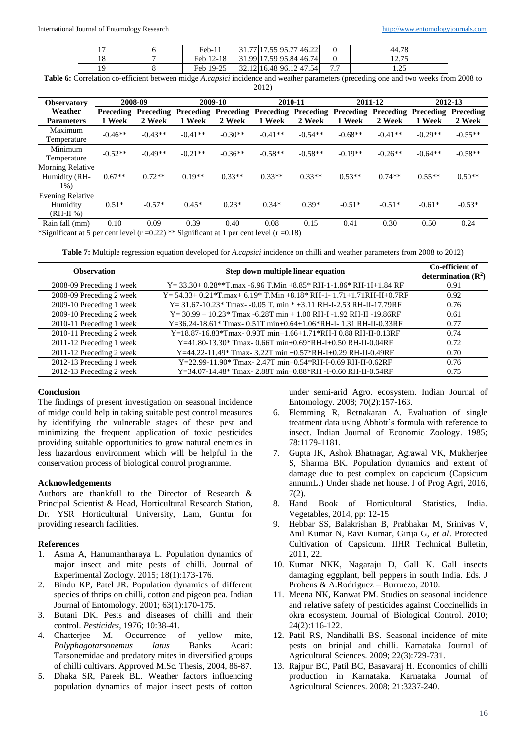|  | $Feb-11$          |  | .77 17.55 95.77 46.22   |          | 44.78                                 |
|--|-------------------|--|-------------------------|----------|---------------------------------------|
|  | Feb 12-18         |  | 31.99 17.59 95.84 46.74 |          | .27<br>$\sim$ 4. $\sim$ $\sim$ $\sim$ |
|  | $19-25$<br>Feb 19 |  | 32.12 16.48 96.12 47.54 | - -<br>. | $\overline{C}$<br>ر _ د               |

**Table 6:** Correlation co-efficient between midge *A.capsici* incidence and weather parameters (preceding one and two weeks from 2008 to 2012)

| <b>Observatory</b> | 2008-09          |           |                  | 2009-10   | 2010-11                    |           | 2011-12          |                  | 2012-13          |           |
|--------------------|------------------|-----------|------------------|-----------|----------------------------|-----------|------------------|------------------|------------------|-----------|
| Weather            | <b>Preceding</b> | Preceding | <b>Preceding</b> |           | <b>Preceding Preceding</b> | Preceding | <b>Preceding</b> | <b>Preceding</b> | <b>Preceding</b> | Preceding |
| <b>Parameters</b>  | 1 Week           | 2 Week    | 1 Week           | 2 Week    | 1 Week                     | 2 Week    | 1 Week           | 2 Week           | 1 Week           | 2 Week    |
| Maximum            | $-0.46**$        | $-0.43**$ | $-0.41**$        | $-0.30**$ | $-0.41**$                  | $-0.54**$ | $-0.68**$        | $-0.41**$        | $-0.29**$        | $-0.55**$ |
| Temperature        |                  |           |                  |           |                            |           |                  |                  |                  |           |
| Minimum            | $-0.52**$        | $-0.49**$ | $-0.21**$        | $-0.36**$ | $-0.58**$                  | $-0.58**$ | $-0.19**$        | $-0.26**$        | $-0.64**$        | $-0.58**$ |
| Temperature        |                  |           |                  |           |                            |           |                  |                  |                  |           |
| Morning Relative   |                  |           |                  |           |                            |           |                  |                  |                  |           |
| Humidity (RH-      | $0.67**$         | $0.72**$  | $0.19**$         | $0.33**$  | $0.33**$                   | $0.33**$  | $0.53**$         | $0.74**$         | $0.55**$         | $0.50**$  |
| $1\%)$             |                  |           |                  |           |                            |           |                  |                  |                  |           |
| Evening Relative   |                  |           |                  |           |                            |           |                  |                  |                  |           |
| Humidity           | $0.51*$          | $-0.57*$  | $0.45*$          | $0.23*$   | $0.34*$                    | $0.39*$   | $-0.51*$         | $-0.51*$         | $-0.61*$         | $-0.53*$  |
| $(RH-II %)$        |                  |           |                  |           |                            |           |                  |                  |                  |           |
| Rain fall (mm)     | 0.10             | 0.09      | 0.39             | 0.40      | 0.08                       | 0.15      | 0.41             | 0.30             | 0.50             | 0.24      |

\*Significant at 5 per cent level  $(r=0.22)$  \*\* Significant at 1 per cent level  $(r=0.18)$ 

**Table 7:** Multiple regression equation developed for *A.capsici* incidence on chilli and weather parameters from 2008 to 2012)

| <b>Observation</b>       | Step down multiple linear equation                                     | Co-efficient of<br>determination $(\mathbb{R}^2)$ |
|--------------------------|------------------------------------------------------------------------|---------------------------------------------------|
| 2008-09 Preceding 1 week | $Y = 33.30 + 0.28**$ T.max -6.96 T.Min +8.85* RH-1-1.86* RH-1I+1.84 RF | 0.91                                              |
| 2008-09 Preceding 2 week | Y= 54.33+ 0.21*T.max+ 6.19* T.Min +8.18* RH-1- 1.71+1.71RH-II+0.7RF    | 0.92                                              |
| 2009-10 Preceding 1 week | Y = 31.67-10.23* Tmax- -0.05 T. min * +3.11 RH-I-2.53 RH-II-17.79RF    | 0.76                                              |
| 2009-10 Preceding 2 week | $Y = 30.99 - 10.23*$ Tmax -6.28T min + 1.00 RH-I -1.92 RH-II -19.86RF  | 0.61                                              |
| 2010-11 Preceding 1 week | Y=36.24-18.61* Tmax- 0.51T min+0.64+1.06*RH-I- 1.31 RH-II-0.33RF       | 0.77                                              |
| 2010-11 Preceding 2 week | Y=18.87-16.83*Tmax-0.93T min+1.66+1.71*RH-I 0.88 RH-II-0.13RF          | 0.74                                              |
| 2011-12 Preceding 1 week | Y=41.80-13.30* Tmax-0.66T min+0.69*RH-I+0.50 RH-II-0.04RF              | 0.72                                              |
| 2011-12 Preceding 2 week | Y=44.22-11.49* Tmax- 3.22T min +0.57*RH-I+0.29 RH-II-0.49RF            | 0.70                                              |
| 2012-13 Preceding 1 week | Y=22.99-11.90* Tmax-2.47T min+0.54*RH-I-0.69 RH-II-0.62RF              | 0.76                                              |
| 2012-13 Preceding 2 week | Y=34.07-14.48* Tmax-2.88T min+0.88*RH -I-0.60 RH-II-0.54RF             | 0.75                                              |

## **Conclusion**

The findings of present investigation on seasonal incidence of midge could help in taking suitable pest control measures by identifying the vulnerable stages of these pest and minimizing the frequent application of toxic pesticides providing suitable opportunities to grow natural enemies in less hazardous environment which will be helpful in the conservation process of biological control programme.

## **Acknowledgements**

Authors are thankfull to the Director of Research & Principal Scientist & Head, Horticultural Research Station, Dr. YSR Horticultural University, Lam, Guntur for providing research facilities.

## **References**

- 1. Asma A, Hanumantharaya L. Population dynamics of major insect and mite pests of chilli. Journal of Experimental Zoology. 2015; 18(1):173-176.
- 2. Bindu KP, Patel JR. Population dynamics of different species of thrips on chilli, cotton and pigeon pea. Indian Journal of Entomology. 2001; 63(1):170-175.
- 3. Butani DK. Pests and diseases of chilli and their control. *Pesticides*, 1976; 10:38-41.
- 4. Chatterjee M. Occurrence of yellow mite, *Polyphagotarsonemus latus* Banks Acari: Tarsonemidae and predatory mites in diversified groups of chilli cultivars. Approved M.Sc. Thesis, 2004, 86-87.
- 5. Dhaka SR, Pareek BL. Weather factors influencing population dynamics of major insect pests of cotton

under semi-arid Agro. ecosystem. Indian Journal of Entomology. 2008; 70(2):157-163.

- 6. Flemming R, Retnakaran A. Evaluation of single treatment data using Abbott's formula with reference to insect. Indian Journal of Economic Zoology. 1985; 78:1179-1181.
- 7. Gupta JK, Ashok Bhatnagar, Agrawal VK, Mukherjee S, Sharma BK. Population dynamics and extent of damage due to pest complex on capcicum (Capsicum annumL.) Under shade net house. J of Prog Agri, 2016, 7(2).
- 8. Hand Book of Horticultural Statistics, India. Vegetables, 2014, pp: 12-15
- 9. Hebbar SS, Balakrishan B, Prabhakar M, Srinivas V, Anil Kumar N, Ravi Kumar, Girija G, *et al*. Protected Cultivation of Capsicum. IIHR Technical Bulletin, 2011, 22.
- 10. Kumar NKK, Nagaraju D, Gall K. Gall insects damaging eggplant, bell peppers in south India. Eds. J Prohens & A.Rodriguez – Burruezo, 2010.
- 11. Meena NK, Kanwat PM. Studies on seasonal incidence and relative safety of pesticides against Coccinellids in okra ecosystem. Journal of Biological Control. 2010; 24(2):116-122.
- 12. Patil RS, Nandihalli BS. Seasonal incidence of mite pests on brinjal and chilli. Karnataka Journal of Agricultural Sciences. 2009; 22(3):729-731.
- 13. Rajpur BC, Patil BC, Basavaraj H. Economics of chilli production in Karnataka. Karnataka Journal of Agricultural Sciences. 2008; 21:3237-240.